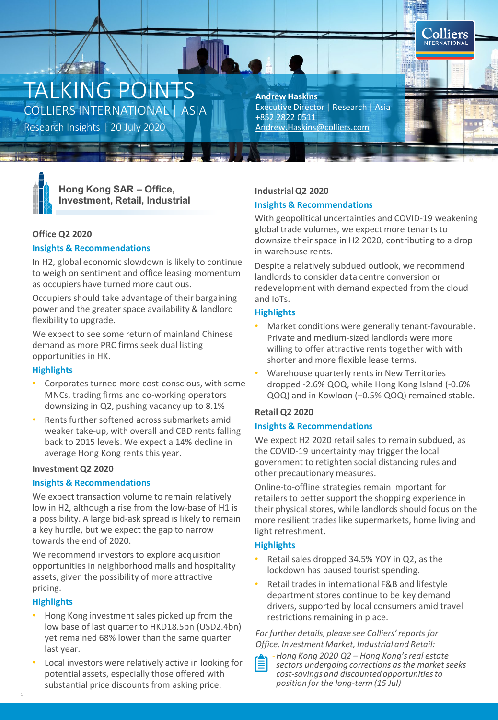# TALKING POINTS COLLIERS INTERNATIONAL | ASIA

Research Insights | 20 July 2020 [Andrew.Haskins@colliers.com](mailto:Andrew.Haskins@colliers.com)

**Andrew Haskins** Executive Director | Research | Asia +852 2822 0511



**Hong Kong SAR – Office, Investment, Retail, Industrial**

# **Office Q2 2020**

## **Insights & Recommendations**

In H2, global economic slowdown is likely to continue to weigh on sentiment and office leasing momentum as occupiers have turned more cautious.

Occupiers should take advantage of their bargaining power and the greater space availability & landlord flexibility to upgrade.

We expect to see some return of mainland Chinese demand as more PRC firms seek dual listing opportunities in HK.

# **Highlights**

- Corporates turned more cost-conscious, with some MNCs, trading firms and co-working operators downsizing in Q2, pushing vacancy up to 8.1%
- Rents further softened across submarkets amid weaker take-up, with overall and CBD rents falling back to 2015 levels. We expect a 14% decline in average Hong Kong rents this year.

#### **Investment Q2 2020**

# **Insights & Recommendations**

We expect transaction volume to remain relatively low in H2, although a rise from the low-base of H1 is a possibility. A large bid-ask spread is likely to remain a key hurdle, but we expect the gap to narrow towards the end of 2020.

We recommend investors to explore acquisition opportunities in neighborhood malls and hospitality assets, given the possibility of more attractive pricing.

# **Highlights**

- Hong Kong investment sales picked up from the low base of last quarter to HKD18.5bn (USD2.4bn) yet remained 68% lower than the same quarter last year.
- Local investors were relatively active in looking for potential assets, especially those offered with substantial price discounts from asking price.

## **Industrial Q2 2020**

## **Insights & Recommendations**

With geopolitical uncertainties and COVID-19 weakening global trade volumes, we expect more tenants to downsize their space in H2 2020, contributing to a drop in warehouse rents.

**Colliers INTERNATIONA** 

Despite a relatively subdued outlook, we recommend landlords to consider data centre conversion or redevelopment with demand expected from the cloud and IoTs.

## **Highlights**

- Market conditions were generally tenant-favourable. Private and medium-sized landlords were more willing to offer attractive rents together with with shorter and more flexible lease terms.
- Warehouse quarterly rents in New Territories dropped -2.6% QOQ, while Hong Kong Island (-0.6% QOQ) and in Kowloon (−0.5% QOQ) remained stable.

# **Retail Q2 2020**

#### **Insights & Recommendations**

We expect H2 2020 retail sales to remain subdued, as the COVID-19 uncertainty may trigger the local government to retighten social distancing rules and other precautionary measures.

Online-to-offline strategies remain important for retailers to better support the shopping experience in their physical stores, while landlords should focus on the more resilient trades like supermarkets, home living and light refreshment.

# **Highlights**

- Retail sales dropped 34.5% YOY in Q2, as the lockdown has paused tourist spending.
- Retail trades in international F&B and lifestyle department stores continue to be key demand drivers, supported by local consumers amid travel restrictions remaining in place.

## *For further details, please see Colliers' reports for Office, Investment Market, Industrial and Retail:*



-*Hong Kong 2020 Q2 – Hong Kong's real estate sectors undergoing corrections as the market seeks cost-savings and discounted opportunities to position for the long-term (15 Jul)*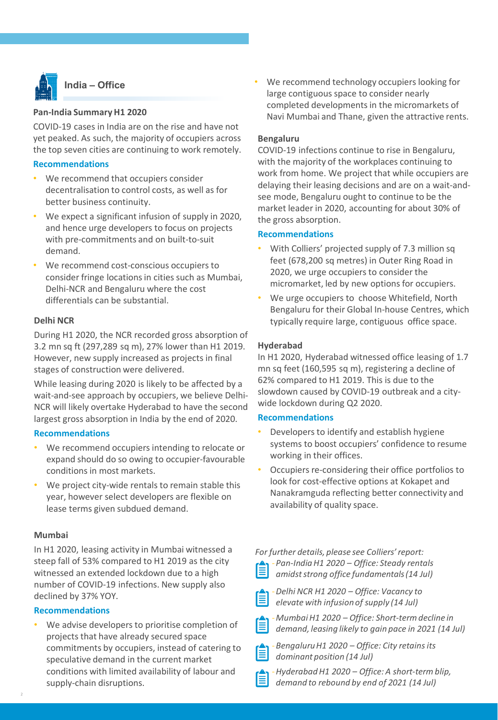

# **India – Office**

## **Pan-India Summary H1 2020**

COVID-19 cases in India are on the rise and have not yet peaked. As such, the majority of occupiers across the top seven cities are continuing to work remotely.

#### **Recommendations**

- We recommend that occupiers consider decentralisation to control costs, as well as for better business continuity.
- We expect a significant infusion of supply in 2020, and hence urge developers to focus on projects with pre-commitments and on built-to-suit demand.
- We recommend cost-conscious occupiers to consider fringe locations in cities such as Mumbai, Delhi-NCR and Bengaluru where the cost differentials can be substantial.

## **Delhi NCR**

During H1 2020, the NCR recorded gross absorption of 3.2 mn sq ft (297,289 sq m), 27% lower than H1 2019. However, new supply increased as projects in final stages of construction were delivered.

While leasing during 2020 is likely to be affected by a wait-and-see approach by occupiers, we believe Delhi-NCR will likely overtake Hyderabad to have the second largest gross absorption in India by the end of 2020.

#### **Recommendations**

- We recommend occupiers intending to relocate or expand should do so owing to occupier-favourable conditions in most markets.
- We project city-wide rentals to remain stable this year, however select developers are flexible on lease terms given subdued demand.

## **Mumbai**

In H1 2020, leasing activity in Mumbai witnessed a steep fall of 53% compared to H1 2019 as the city witnessed an extended lockdown due to a high number of COVID-19 infections. New supply also declined by 37% YOY.

#### **Recommendations**

We advise developers to prioritise completion of projects that have already secured space commitments by occupiers, instead of catering to speculative demand in the current market conditions with limited availability of labour and supply-chain disruptions.

We recommend technology occupiers looking for large contiguous space to consider nearly completed developments in the micromarkets of Navi Mumbai and Thane, given the attractive rents.

## **Bengaluru**

COVID-19 infections continue to rise in Bengaluru, with the majority of the workplaces continuing to work from home. We project that while occupiers are delaying their leasing decisions and are on a wait-andsee mode, Bengaluru ought to continue to be the market leader in 2020, accounting for about 30% of the gross absorption.

#### **Recommendations**

- With Colliers' projected supply of 7.3 million sq feet (678,200 sq metres) in Outer Ring Road in 2020, we urge occupiers to consider the micromarket, led by new options for occupiers.
- We urge occupiers to choose Whitefield, North Bengaluru for their Global In-house Centres, which typically require large, contiguous office space.

# **Hyderabad**

In H1 2020, Hyderabad witnessed office leasing of 1.7 mn sq feet (160,595 sq m), registering a decline of 62% compared to H1 2019. This is due to the slowdown caused by COVID-19 outbreak and a citywide lockdown during Q2 2020.

#### **Recommendations**

- Developers to identify and establish hygiene systems to boost occupiers' confidence to resume working in their offices.
- Occupiers re-considering their office portfolios to look for cost-effective options at Kokapet and Nanakramguda reflecting better connectivity and availability of quality space.

*For further details, please see Colliers' report:* -*Pan-India H1 2020 – Office: Steady rentals amidst strong office fundamentals (14 Jul)*

| _____  |  |
|--------|--|
| ______ |  |

-*Delhi NCR H1 2020 – Office: Vacancy to elevate with infusion of supply (14 Jul)*



-*Bengaluru H1 2020 – Office: City retains its*  自 *dominant position (14 Jul)*

-*Hyderabad H1 2020 – Office: A short-term blip, demand to rebound by end of 2021 (14 Jul)*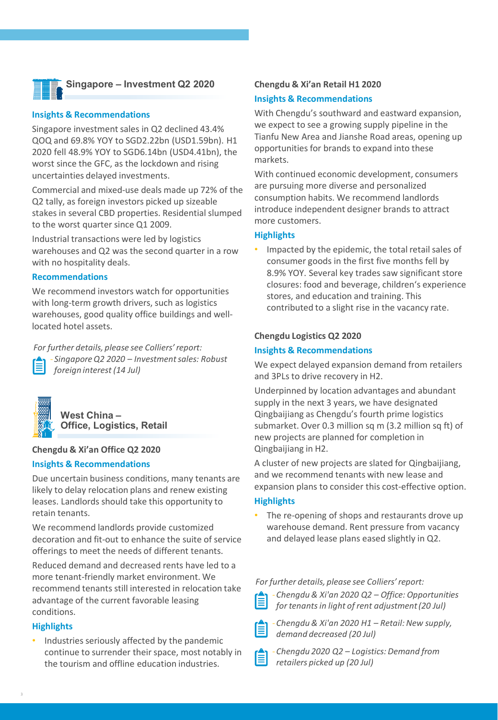

# **Singapore – Investment Q2 2020**

#### **Insights & Recommendations**

Singapore investment sales in Q2 declined 43.4% QOQ and 69.8% YOY to SGD2.22bn (USD1.59bn). H1 2020 fell 48.9% YOY to SGD6.14bn (USD4.41bn), the worst since the GFC, as the lockdown and rising uncertainties delayed investments.

Commercial and mixed-use deals made up 72% of the Q2 tally, as foreign investors picked up sizeable stakes in several CBD properties. Residential slumped to the worst quarter since Q1 2009.

Industrial transactions were led by logistics warehouses and Q2 was the second quarter in a row with no hospitality deals.

#### **Recommendations**

We recommend investors watch for opportunities with long-term growth drivers, such as logistics warehouses, good quality office buildings and welllocated hotel assets.

*For further details, please see Colliers' report:* - *Singapore Q2 2020 – Investment sales: Robust foreign interest (14 Jul)*



**West China – Office, Logistics, Retail**

#### **Chengdu & Xi'an Office Q2 2020**

#### **Insights & Recommendations**

Due uncertain business conditions, many tenants are likely to delay relocation plans and renew existing leases. Landlords should take this opportunity to retain tenants.

We recommend landlords provide customized decoration and fit-out to enhance the suite of service offerings to meet the needs of different tenants.

Reduced demand and decreased rents have led to a more tenant-friendly market environment. We recommend tenants still interested in relocation take advantage of the current favorable leasing conditions.

#### **Highlights**

• Industries seriously affected by the pandemic continue to surrender their space, most notably in the tourism and offline education industries.

#### **Chengdu & Xi'an Retail H1 2020**

#### **Insights & Recommendations**

With Chengdu's southward and eastward expansion, we expect to see a growing supply pipeline in the Tianfu New Area and Jianshe Road areas, opening up opportunities for brands to expand into these markets.

With continued economic development, consumers are pursuing more diverse and personalized consumption habits. We recommend landlords introduce independent designer brands to attract more customers.

#### **Highlights**

• Impacted by the epidemic, the total retail sales of consumer goods in the first five months fell by 8.9% YOY. Several key trades saw significant store closures: food and beverage, children's experience stores, and education and training. This contributed to a slight rise in the vacancy rate.

#### **Chengdu Logistics Q2 2020**

#### **Insights & Recommendations**

We expect delayed expansion demand from retailers and 3PLs to drive recovery in H2.

Underpinned by location advantages and abundant supply in the next 3 years, we have designated Qingbaijiang as Chengdu's fourth prime logistics submarket. Over 0.3 million sq m (3.2 million sq ft) of new projects are planned for completion in Qingbaijiang in H2.

A cluster of new projects are slated for Qingbaijiang, and we recommend tenants with new lease and expansion plans to consider this cost-effective option.

#### **Highlights**

• The re-opening of shops and restaurants drove up warehouse demand. Rent pressure from vacancy and delayed lease plans eased slightly in Q2.

*For further details, please see Colliers' report:*

-*Chengdu & Xi'an 2020 Q2 – Office: Opportunities for tenants in light of rent adjustment (20 Jul)*

-*Chengdu & Xi'an 2020 H1 – Retail: New supply,*  冒 *demand decreased (20 Jul)*

-*Chengdu 2020 Q2 – Logistics: Demand from retailers picked up (20 Jul)*